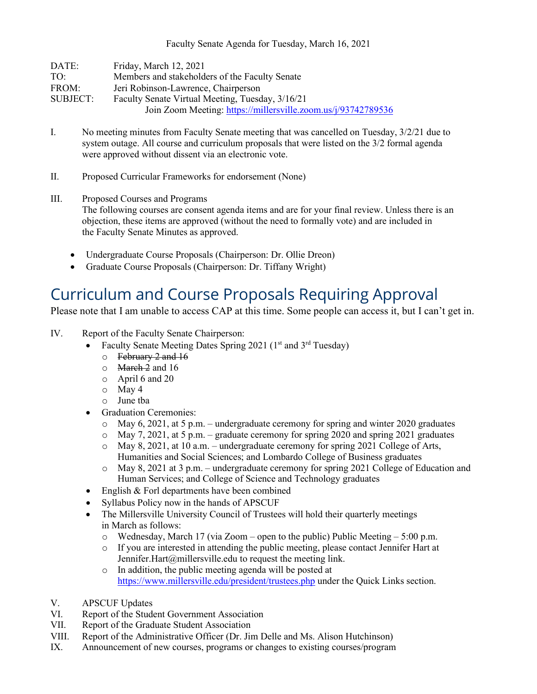Faculty Senate Agenda for Tuesday, March 16, 2021

| DATE:    | Friday, March 12, 2021                                        |
|----------|---------------------------------------------------------------|
| TO:      | Members and stakeholders of the Faculty Senate                |
| FROM:    | Jeri Robinson-Lawrence, Chairperson                           |
| SUBJECT: | Faculty Senate Virtual Meeting, Tuesday, 3/16/21              |
|          | Join Zoom Meeting: https://millersville.zoom.us/j/93742789536 |

- I. No meeting minutes from Faculty Senate meeting that was cancelled on Tuesday, 3/2/21 due to system outage. All course and curriculum proposals that were listed on the 3/2 formal agenda were approved without dissent via an electronic vote.
- II. Proposed Curricular Frameworks for endorsement (None)
- III. Proposed Courses and Programs The following courses are consent agenda items and are for your final review. Unless there is an objection, these items are approved (without the need to formally vote) and are included in the Faculty Senate Minutes as approved.
	- Undergraduate Course Proposals (Chairperson: Dr. Ollie Dreon)
	- Graduate Course Proposals (Chairperson: Dr. Tiffany Wright)

## Curriculum and Course Proposals Requiring Approval

Please note that I am unable to access CAP at this time. Some people can access it, but I can't get in.

- IV. Report of the Faculty Senate Chairperson:
	- Faculty Senate Meeting Dates Spring 2021 ( $1<sup>st</sup>$  and  $3<sup>rd</sup>$  Tuesday)
		- o February 2 and 16
		- $\circ$  March 2 and 16
		- o April 6 and 20
		- o May 4
		- o June tba
	- Graduation Ceremonies:
		- $\circ$  May 6, 2021, at 5 p.m. undergraduate ceremony for spring and winter 2020 graduates
		- $\circ$  May 7, 2021, at 5 p.m. graduate ceremony for spring 2020 and spring 2021 graduates
		- $\circ$  May 8, 2021, at 10 a.m. undergraduate ceremony for spring 2021 College of Arts, Humanities and Social Sciences; and Lombardo College of Business graduates
		- o May 8, 2021 at 3 p.m. undergraduate ceremony for spring 2021 College of Education and Human Services; and College of Science and Technology graduates
	- English & Forl departments have been combined
	- Syllabus Policy now in the hands of APSCUF
	- The Millersville University Council of Trustees will hold their quarterly meetings in March as follows:
		- $\circ$  Wednesday, March 17 (via Zoom open to the public) Public Meeting 5:00 p.m.
		- o If you are interested in attending the public meeting, please contact Jennifer Hart at Jennifer.Hart@millersville.edu to request the meeting link.
		- o In addition, the public meeting agenda will be posted at <https://www.millersville.edu/president/trustees.php> under the Quick Links section.
- V. APSCUF Updates
- VI. Report of the Student Government Association
- VII. Report of the Graduate Student Association
- VIII. Report of the Administrative Officer (Dr. Jim Delle and Ms. Alison Hutchinson)
- IX. Announcement of new courses, programs or changes to existing courses/program